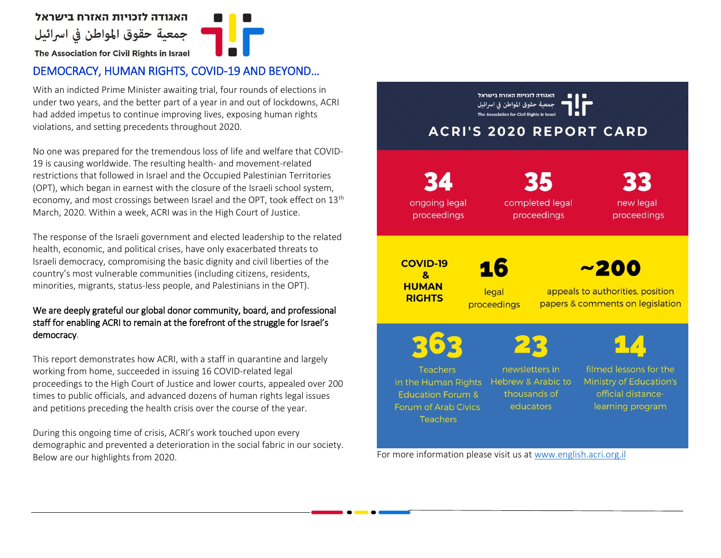

## DEMOCRACY, HUMAN RIGHTS, COVID-19 AND BEYOND…

With an indicted Prime Minister awaiting trial, four rounds of elections in under two years, and the better part of a year in and out of lockdowns, ACRI had added impetus to continue improving lives, exposing human rights violations, and setting precedents throughout 2020.

No one was prepared for the tremendous loss of life and welfare that COVID-19 is causing worldwide. The resulting health- and movement-related restrictions that followed in Israel and the Occupied Palestinian Territories (OPT), which began in earnest with the closure of the Israeli school system, economy, and most crossings between Israel and the OPT, took effect on 13<sup>th</sup> March, 2020. Within a week, ACRI was in the High Court of Justice.

The response of the Israeli government and elected leadership to the related health, economic, and political crises, have only exacerbated threats to Israeli democracy, compromising the basic dignity and civil liberties of the country's most vulnerable communities (including citizens, residents, minorities, migrants, status-less people, and Palestinians in the OPT).

### We are deeply grateful our global donor community, board, and professional staff for enabling ACRI to remain at the forefront of the struggle for Israel's democracy.

This report demonstrates how ACRI, with a staff in quarantine and largely working from home, succeeded in issuing 16 COVID-related legal proceedings to the High Court of Justice and lower courts, appealed over 200 times to public officials, and advanced dozens of human rights legal issues and petitions preceding the health crisis over the course of the year.

During this ongoing time of crisis, ACRI's work touched upon every demographic and prevented a deterioration in the social fabric in our society. Below are our highlights from 2020. The state of the state of the state of the state of the state of the state of the state of the state of the state of the state of the state of the state of the state of the state of the

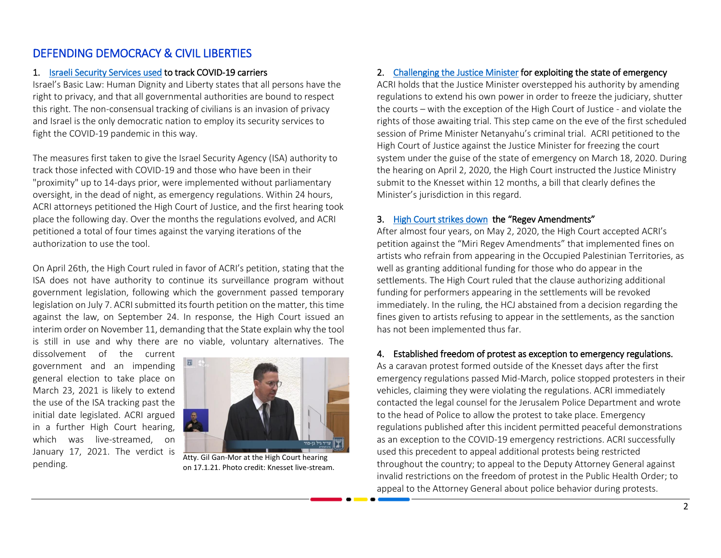# DEFENDING DEMOCRACY & CIVIL LIBERTIES

#### 1. Israeli Security Services used to track COVID-19 carriers

Israel's Basic Law: Human Dignity and Liberty states that all persons have the right to privacy, and that all governmental authorities are bound to respect this right. The non-consensual tracking of civilians is an invasion of privacy and Israel is the only democratic nation to employ its security services to fight the COVID-19 pandemic in this way.

The measures first taken to give the Israel Security Agency (ISA) authority to track those infected with COVID-19 and those who have been in their "proximity" up to 14-days prior, were implemented without parliamentary oversight, in the dead of night, as emergency regulations. Within 24 hours, ACRI attorneys petitioned the High Court of Justice, and the first hearing took place the following day. Over the months the regulations evolved, and ACRI petitioned a total of four times against the varying iterations of the authorization to use the tool.

On April 26th, the High Court ruled in favor of ACRI's petition, stating that the ISA does not have authority to continue its surveillance program without government legislation, following which the government passed temporary legislation on July 7. ACRI submitted its fourth petition on the matter, this time against the law, on September 24. In response, the High Court issued an interim order on November 11, demanding that the State explain why the tool is still in use and why there are no viable, voluntary alternatives. The

dissolvement of the current government and an impending general election to take place on March 23, 2021 is likely to extend the use of the ISA tracking past the initial date legislated. ACRI argued in a further High Court hearing, which was live-streamed, on January 17, 2021. The verdict is pending.



Atty. Gil Gan-Mor at the High Court hearing on 17.1.21. Photo credit: Knesset live-stream.

## 2. [Challenging the Justice Minister f](https://www.english.acri.org.il/post/__168)or exploiting the state of emergency

ACRI holds that the Justice Minister overstepped his authority by amending regulations to extend his own power in order to freeze the judiciary, shutter the courts – with the exception of the High Court of Justice - and violate the rights of those awaiting trial. This step came on the eve of the first scheduled session of Prime Minister Netanyahu's criminal trial. ACRI petitioned to the High Court of Justice against the Justice Minister for freezing the court system under the guise of the state of emergency on March 18, 2020. During the hearing on April 2, 2020, the High Court instructed the Justice Ministry submit to the Knesset within 12 months, a bill that clearly defines the Minister's jurisdiction in this regard.

#### 3. [High Court strikes down](https://www.english.acri.org.il/post/__174) the "Regev Amendments"

After almost four years, on May 2, 2020, the High Court accepted ACRI's petition against the "Miri Regev Amendments" that implemented fines on artists who refrain from appearing in the Occupied Palestinian Territories, as well as granting additional funding for those who do appear in the settlements. The High Court ruled that the clause authorizing additional funding for performers appearing in the settlements will be revoked immediately. In the ruling, the HCJ abstained from a decision regarding the fines given to artists refusing to appear in the settlements, as the sanction has not been implemented thus far.

## 4. Established freedom of protest as exception to emergency regulations.

As a caravan protest formed outside of the Knesset days after the first emergency regulations passed Mid-March, police stopped protesters in their vehicles, claiming they were violating the regulations. ACRI immediately contacted the legal counsel for the Jerusalem Police Department and wrote to the head of Police to allow the protest to take place. Emergency regulations published after this incident permitted peaceful demonstrations as an exception to the COVID-19 emergency restrictions. ACRI successfully used this precedent to appeal additional protests being restricted throughout the country; to appeal to the Deputy Attorney General against invalid restrictions on the freedom of protest in the Public Health Order; to appeal to the Attorney General about police behavior during protests.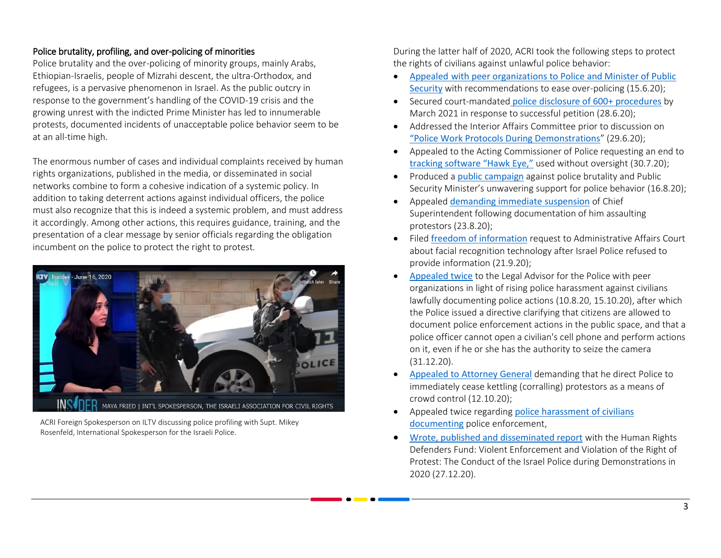### Police brutality, profiling, and over-policing of minorities

Police brutality and the over-policing of minority groups, mainly Arabs, Ethiopian-Israelis, people of Mizrahi descent, the ultra-Orthodox, and refugees, is a pervasive phenomenon in Israel. As the public outcry in response to the government's handling of the COVID-19 crisis and the growing unrest with the indicted Prime Minister has led to innumerable protests, documented incidents of unacceptable police behavior seem to be at an all-time high.

The enormous number of cases and individual complaints received by human rights organizations, published in the media, or disseminated in social networks combine to form a cohesive indication of a systemic policy. In addition to taking deterrent actions against individual officers, the police must also recognize that this is indeed a systemic problem, and must address it accordingly. Among other actions, this requires guidance, training, and the presentation of a clear message by senior officials regarding the obligation incumbent on the police to protect the right to protest.



ACRI Foreign Spokesperson on ILTV discussing police profiling with Supt. Mikey Rosenfeld, International Spokesperson for the Israeli Police.

During the latter half of 2020, ACRI took the following steps to protect the rights of civilians against unlawful police behavior:

- Appealed with peer organizations [to Police and Minister of Public](https://www.english.acri.org.il/post/__202)  [Security](https://www.english.acri.org.il/post/__202) with recommendations to ease over-policing (15.6.20);
- Secured court-mandated [police disclosure of 600+ procedures](https://www.english.acri.org.il/post/__193) by March 2021 in response to successful petition (28.6.20);
- Addressed the Interior Affairs Committee prior to discussion on ["Police Work Protocols During Demonstrations](https://www.english.acri.org.il/post/__222)" (29.6.20);
- Appealed to the Acting Commissioner of Police requesting an end to [tracking software "Hawk Eye,"](https://www.english.acri.org.il/post/__235) used without oversight (30.7.20);
- Produced a [public campaign](https://www.english.acri.org.il/post/__206) against police brutality and Public Security Minister's unwavering support for police behavior (16.8.20);
- Appealed [demanding immediate suspension](https://www.english.acri.org.il/post/__250) of Chief Superintendent following documentation of him assaulting protestors (23.8.20);
- Filed [freedom of information](https://www.english.acri.org.il/post/__244) request to Administrative Affairs Court about facial recognition technology after Israel Police refused to provide information (21.9.20);
- [Appealed twice](https://www.english.acri.org.il/post/__239) to the Legal Advisor for the Police with peer organizations in light of rising police harassment against civilians lawfully documenting police actions (10.8.20, 15.10.20), after which the Police issued a directive clarifying that citizens are allowed to document police enforcement actions in the public space, and that a police officer cannot open a civilian's cell phone and perform actions on it, even if he or she has the authority to seize the camera (31.12.20).
- [Appealed to Attorney General](https://www.english.acri.org.il/post/__217) demanding that he direct Police to immediately cease kettling (corralling) protestors as a means of crowd control (12.10.20);
- Appealed twice regarding police harassment of civilians [documenting](https://www.english.acri.org.il/post/__239?fbclid=IwAR1S5PPQ9NXccO6adTcxtSE8YkV7L4IOXYBH_LDBf-gSgOmBpgoML5hy9fc) police enforcement,
- [Wrote, published and disseminated report](https://www.english.acri.org.il/post/__251) with the Human Rights Defenders Fund: Violent Enforcement and Violation of the Right of Protest: The Conduct of the Israel Police during Demonstrations in 2020 (27.12.20).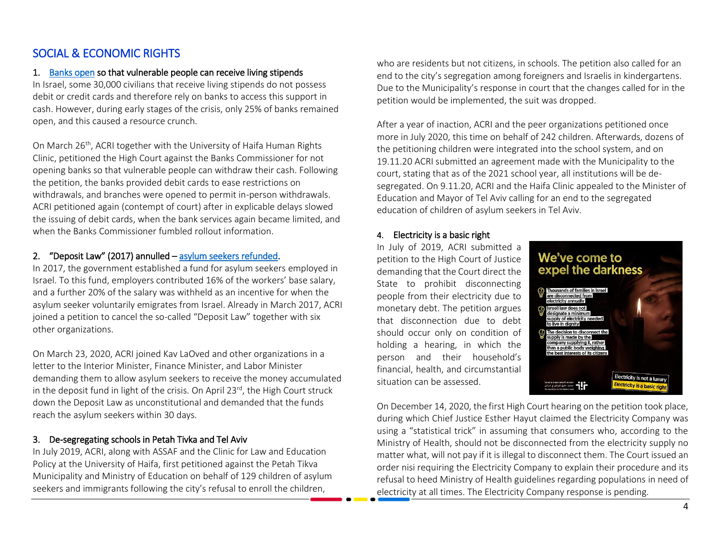# SOCIAL & ECONOMIC RIGHTS

#### 1. [Banks o](https://www.english.acri.org.il/post/__176)pen so that vulnerable people can receive living stipends

In Israel, some 30,000 civilians that receive living stipends do not possess debit or credit cards and therefore rely on banks to access this support in cash. However, during early stages of the crisis, only 25% of banks remained open, and this caused a resource crunch.

On March 26<sup>th</sup>, ACRI together with the University of Haifa Human Rights Clinic, petitioned the High Court against the Banks Commissioner for not opening banks so that vulnerable people can withdraw their cash. Following the petition, the banks provided debit cards to ease restrictions on withdrawals, and branches were opened to permit in-person withdrawals. ACRI petitioned again (contempt of court) after in explicable delays slowed the issuing of debit cards, when the bank services again became limited, and when the Banks Commissioner fumbled rollout information.

### 2. "Deposit Law" (2017) annulled – [asylum seekers refunded.](https://www.english.acri.org.il/post/__175)

In 2017, the government established a fund for asylum seekers employed in Israel. To this fund, employers contributed 16% of the workers' base salary, and a further 20% of the salary was withheld as an incentive for when the asylum seeker voluntarily emigrates from Israel. Already in March 2017, ACRI joined a petition to cancel the so-called "Deposit Law" together with six other organizations.

On March 23, 2020, ACRI joined Kav LaOved and other organizations in a letter to the Interior Minister, Finance Minister, and Labor Minister demanding them to allow asylum seekers to receive the money accumulated in the deposit fund in light of the crisis. On April 23<sup>rd</sup>, the High Court struck down the Deposit Law as unconstitutional and demanded that the funds reach the asylum seekers within 30 days.

## 3. De-segregating schools in Petah Tivka and Tel Aviv

In July 2019, ACRI, along with ASSAF and the Clinic for Law and Education Policy at the University of Haifa, first petitioned against the Petah Tikva Municipality and Ministry of Education on behalf of 129 children of asylum seekers and immigrants following the city's refusal to enroll the children,

who are residents but not citizens, in schools. The petition also called for an end to the city's segregation among foreigners and Israelis in kindergartens. Due to the Municipality's response in court that the changes called for in the petition would be implemented, the suit was dropped.

After a year of inaction, ACRI and the peer organizations petitioned once more in July 2020, this time on behalf of 242 children. Afterwards, dozens of the petitioning children were integrated into the school system, and on 19.11.20 ACRI submitted an agreement made with the Municipality to the court, stating that as of the 2021 school year, all institutions will be desegregated. On 9.11.20, ACRI and the Haifa Clinic appealed to the Minister of Education and Mayor of Tel Aviv calling for an end to the segregated education of children of asylum seekers in Tel Aviv.

### 4. Electricity is a basic right

In July of 2019, ACRI submitted a petition to the High Court of Justice demanding that the Court direct the State to prohibit disconnecting people from their electricity due to monetary debt. The petition argues that disconnection due to debt should occur only on condition of holding a hearing, in which the person and their household's financial, health, and circumstantial situation can be assessed.



On December 14, 2020, the first High Court hearing on the petition took place, during which Chief Justice Esther Hayut claimed the Electricity Company was using a "statistical trick" in assuming that consumers who, according to the Ministry of Health, should not be disconnected from the electricity supply no matter what, will not pay if it is illegal to disconnect them. The Court issued an order nisi requiring the Electricity Company to explain their procedure and its refusal to heed Ministry of Health guidelines regarding populations in need of electricity at all times. The Electricity Company response is pending.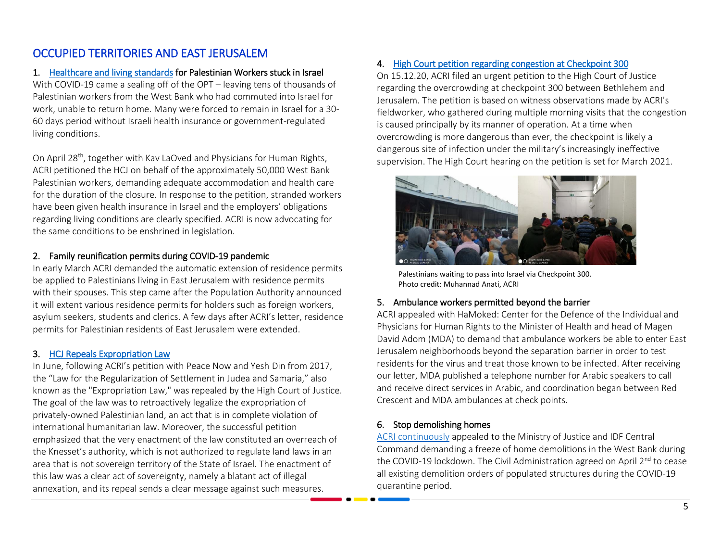# OCCUPIED TERRITORIES AND EAST JERUSALEM

### 1. [Healthcare and living standards](https://www.english.acri.org.il/post/__166) for Palestinian Workers stuck in Israel

With COVID-19 came a sealing off of the OPT – leaving tens of thousands of Palestinian workers from the West Bank who had commuted into Israel for work, unable to return home. Many were forced to remain in Israel for a 30- 60 days period without Israeli health insurance or government-regulated living conditions.

On April 28<sup>th</sup>, together with Kav LaOved and Physicians for Human Rights, ACRI petitioned the HCJ on behalf of the approximately 50,000 West Bank Palestinian workers, demanding adequate accommodation and health care for the duration of the closure. In response to the petition, stranded workers have been given health insurance in Israel and the employers' obligations regarding living conditions are clearly specified. ACRI is now advocating for the same conditions to be enshrined in legislation.

### 2. Family reunification permits during COVID-19 pandemic

In early March ACRI demanded the automatic extension of residence permits be applied to Palestinians living in East Jerusalem with residence permits with their spouses. This step came after the Population Authority announced it will extent various residence permits for holders such as foreign workers, asylum seekers, students and clerics. A few days after ACRI's letter, residence permits for Palestinian residents of East Jerusalem were extended.

#### 3. [HCJ Repeals Expropriation Law](https://www.english.acri.org.il/post/___86)

In June, following ACRI's petition with Peace Now and Yesh Din from 2017, the "Law for the Regularization of Settlement in Judea and Samaria," also known as the "Expropriation Law," was repealed by the High Court of Justice. The goal of the law was to retroactively legalize the expropriation of privately-owned Palestinian land, an act that is in complete violation of international humanitarian law. Moreover, the successful petition emphasized that the very enactment of the law constituted an overreach of the Knesset's authority, which is not authorized to regulate land laws in an area that is not sovereign territory of the State of Israel. The enactment of this law was a clear act of sovereignty, namely a blatant act of illegal annexation, and its repeal sends a clear message against such measures.

#### 4. [High Court petition regarding congestion at Checkpoint 300](https://www.english.acri.org.il/post/__248)

On 15.12.20, ACRI filed an urgent petition to the High Court of Justice regarding the overcrowding at checkpoint 300 between Bethlehem and Jerusalem. The petition is based on witness observations made by ACRI's fieldworker, who gathered during multiple morning visits that the congestion is caused principally by its manner of operation. At a time when overcrowding is more dangerous than ever, the checkpoint is likely a dangerous site of infection under the military's increasingly ineffective supervision. The High Court hearing on the petition is set for March 2021.



Palestinians waiting to pass into Israel via Checkpoint 300. Photo credit: Muhannad Anati, ACRI

### 5. Ambulance workers permitted beyond the barrier

ACRI appealed with HaMoked: Center for the Defence of the Individual and Physicians for Human Rights to the Minister of Health and head of Magen David Adom (MDA) to demand that ambulance workers be able to enter East Jerusalem neighborhoods beyond the separation barrier in order to test residents for the virus and treat those known to be infected. After receiving our letter, MDA published a telephone number for Arabic speakers to call and receive direct services in Arabic, and coordination began between Red Crescent and MDA ambulances at check points.

### 6. Stop demolishing homes

[ACRI continuously](https://www.english.acri.org.il/post/__157) appealed to the Ministry of Justice and IDF Central Command demanding a freeze of home demolitions in the West Bank during the COVID-19 lockdown. The Civil Administration agreed on April 2<sup>nd</sup> to cease all existing demolition orders of populated structures during the COVID-19 quarantine period.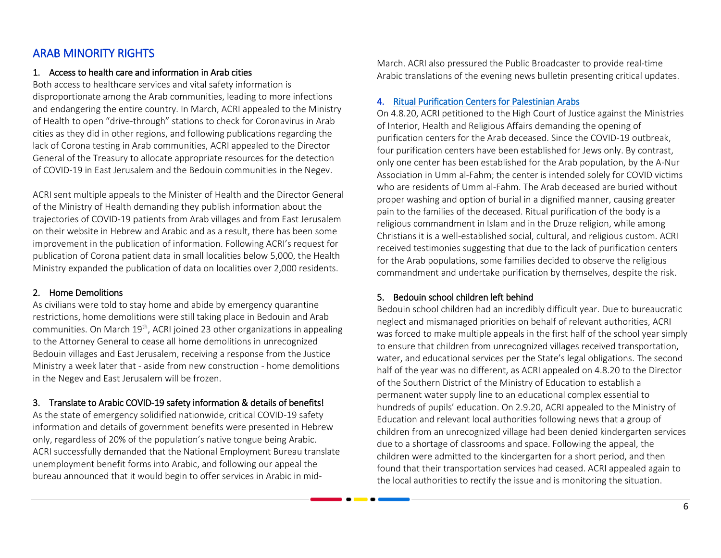## ARAB MINORITY RIGHTS

#### 1. Access to health care and information in Arab cities

Both access to healthcare services and vital safety information is disproportionate among the Arab communities, leading to more infections and endangering the entire country. In March, ACRI appealed to the Ministry of Health to open "drive-through" stations to check for Coronavirus in Arab cities as they did in other regions, and following publications regarding the lack of Corona testing in Arab communities, ACRI appealed to the Director General of the Treasury to allocate appropriate resources for the detection of COVID-19 in East Jerusalem and the Bedouin communities in the Negev.

ACRI sent multiple appeals to the Minister of Health and the Director General of the Ministry of Health demanding they publish information about the trajectories of COVID-19 patients from Arab villages and from East Jerusalem on their website in Hebrew and Arabic and as a result, there has been some improvement in the publication of information. Following ACRI's request for publication of Corona patient data in small localities below 5,000, the Health Ministry expanded the publication of data on localities over 2,000 residents.

#### 2. Home Demolitions

As civilians were told to stay home and abide by emergency quarantine restrictions, home demolitions were still taking place in Bedouin and Arab communities. On March 19<sup>th</sup>, ACRI joined 23 other organizations in appealing to the Attorney General to cease all home demolitions in unrecognized Bedouin villages and East Jerusalem, receiving a response from the Justice Ministry a week later that - aside from new construction - home demolitions in the Negev and East Jerusalem will be frozen.

### 3. Translate to Arabic COVID-19 safety information & details of benefits!

As the state of emergency solidified nationwide, critical COVID-19 safety information and details of government benefits were presented in Hebrew only, regardless of 20% of the population's native tongue being Arabic. ACRI successfully demanded that the National Employment Bureau translate unemployment benefit forms into Arabic, and following our appeal the bureau announced that it would begin to offer services in Arabic in mid-

March. ACRI also pressured the Public Broadcaster to provide real-time Arabic translations of the evening news bulletin presenting critical updates.

#### 4. [Ritual Purification Centers for Palestinian Arabs](https://www.english.acri.org.il/post/__214)

On 4.8.20, ACRI petitioned to the High Court of Justice against the Ministries of Interior, Health and Religious Affairs demanding the opening of purification centers for the Arab deceased. Since the COVID-19 outbreak, four purification centers have been established for Jews only. By contrast, only one center has been established for the Arab population, by the A-Nur Association in Umm al-Fahm; the center is intended solely for COVID victims who are residents of Umm al-Fahm. The Arab deceased are buried without proper washing and option of burial in a dignified manner, causing greater pain to the families of the deceased. Ritual purification of the body is a religious commandment in Islam and in the Druze religion, while among Christians it is a well-established social, cultural, and religious custom. ACRI received testimonies suggesting that due to the lack of purification centers for the Arab populations, some families decided to observe the religious commandment and undertake purification by themselves, despite the risk.

#### 5. Bedouin school children left behind

Bedouin school children had an incredibly difficult year. Due to bureaucratic neglect and mismanaged priorities on behalf of relevant authorities, ACRI was forced to make multiple appeals in the first half of the school year simply to ensure that children from unrecognized villages received transportation, water, and educational services per the State's legal obligations. The second half of the year was no different, as ACRI appealed on 4.8.20 to the Director of the Southern District of the Ministry of Education to establish a permanent water supply line to an educational complex essential to hundreds of pupils' education. On 2.9.20, ACRI appealed to the Ministry of Education and relevant local authorities following news that a group of children from an unrecognized village had been denied kindergarten services due to a shortage of classrooms and space. Following the appeal, the children were admitted to the kindergarten for a short period, and then found that their transportation services had ceased. ACRI appealed again to the local authorities to rectify the issue and is monitoring the situation.